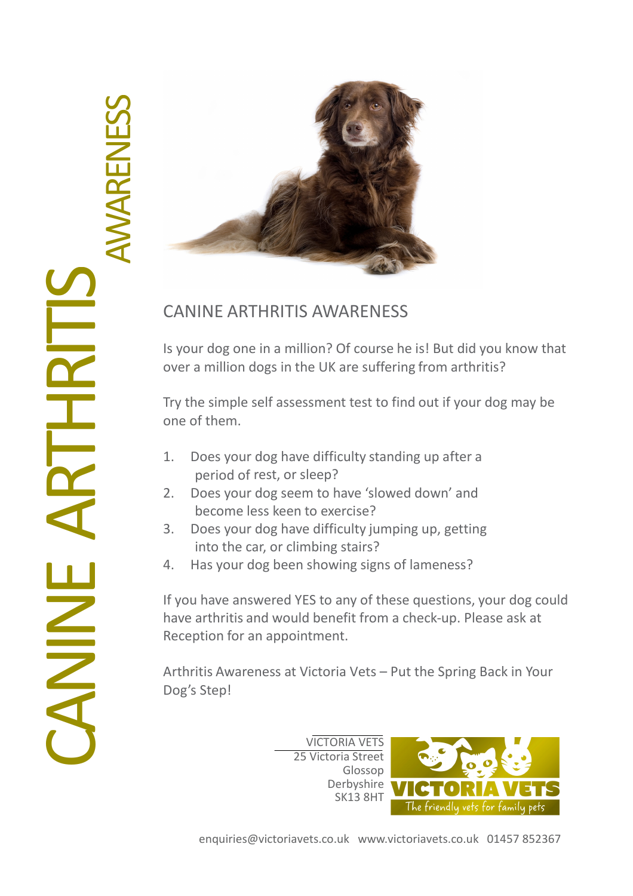

## CANINE ARTHRITIS AWARENESS

Is your dog one in a million? Of course he is! But did you know that over a million dogs in the UK are suffering from arthritis?

Try the simple self assessment test to find out if your dog may be one of them.

- 1. Does your dog have difficulty standing up after a period of rest, or sleep?
- 2. Does your dog seem to have 'slowed down' and become less keen to exercise?
- 3. Does your dog have difficulty jumping up, getting into the car, or climbing stairs?
- 4. Has your dog been showing signs of lameness?

If you have answered YES to any of these questions, your dog could have arthritis and would benefit from a check-up. Please ask at Reception for an appointment.

Arthritis Awareness at Victoria Vets – Put the Spring Back in Your Dog's Step!

> VICTORIA VETS 25 Victoria Street Glossop Derbyshire SK13 8HT

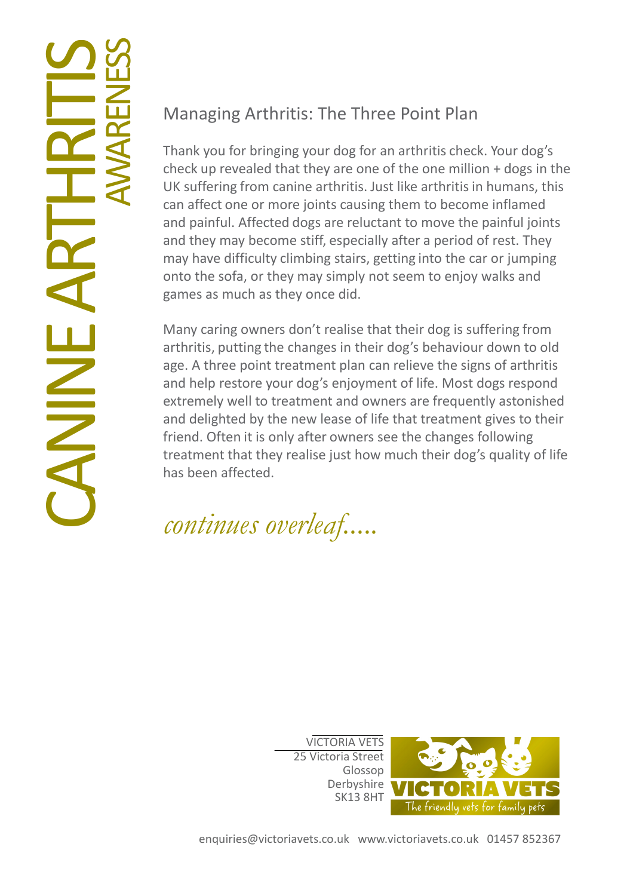## **NAS** Z  $\Box$  $\blacktriangleleft$ **RTHRITISS**<br>AVARENESS AWAREN ESS

## Managing Arthritis: The Three Point Plan

Thank you for bringing your dog for an arthritis check. Your dog's check up revealed that they are one of the one million + dogs in the UK suffering from canine arthritis. Just like arthritis in humans, this can affect one or more joints causing them to become inflamed and painful. Affected dogs are reluctant to move the painful joints and they may become stiff, especially after a period of rest. They may have difficulty climbing stairs, getting into the car or jumping onto the sofa, or they may simply not seem to enjoy walks and games as much as they once did.

Many caring owners don't realise that their dog is suffering from arthritis, putting the changes in their dog's behaviour down to old age. A three point treatment plan can relieve the signs of arthritis and help restore your dog's enjoyment of life. Most dogs respond extremely well to treatment and owners are frequently astonished and delighted by the new lease of life that treatment gives to their friend. Often it is only after owners see the changes following treatment that they realise just how much their dog's quality of life has been affected.

continues overleaf.....

VICTORIA VETS 25 Victoria Street Glossop Derbyshire SK13 8HT